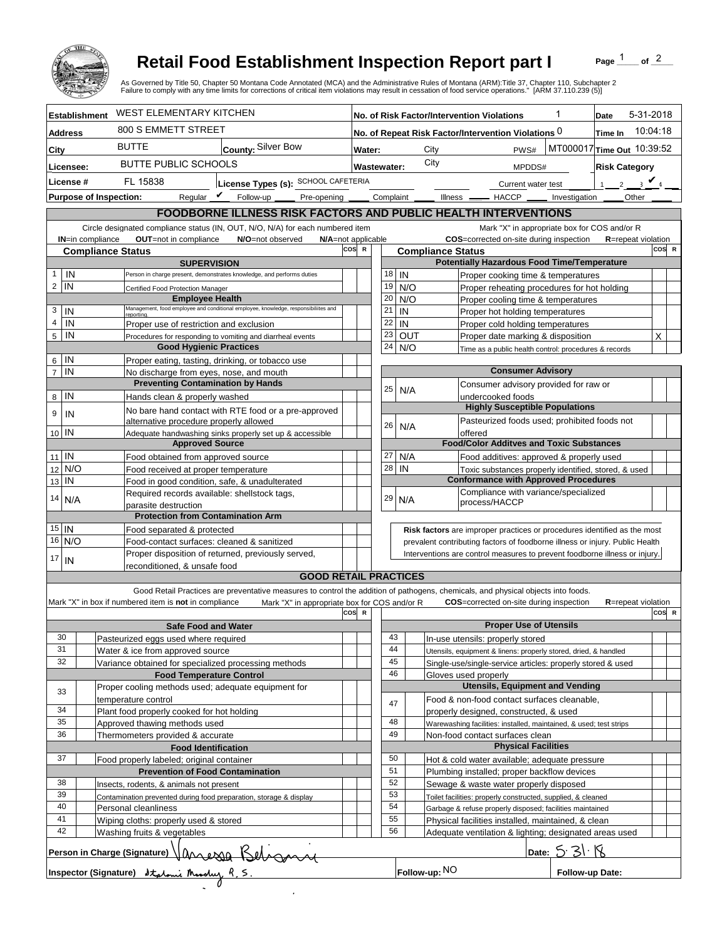

## **Retail Food Establishment Inspection Report part I**

Page  $\frac{1}{1}$  of  $\frac{2}{1}$ 

|                                                 |                                                                                                               | <b>Retail Food Establishment Inspection Report part I</b><br>As Governed by Title 50, Chapter 50 Montana Code Annotated (MCA) and the Administrative Rules of Montana (ARM):Title 37, Chapter 110, Subchapter 2<br>Failure to comply with any time limits for corrections of critical item violations may result in cessation of food service operations." [ARM 37.110.239 (5)] |                                                                                                                                   |                        |                                                                                                   |                                              |                                                                                     |                                                                 | Page                                  | of $2$            |  |
|-------------------------------------------------|---------------------------------------------------------------------------------------------------------------|---------------------------------------------------------------------------------------------------------------------------------------------------------------------------------------------------------------------------------------------------------------------------------------------------------------------------------------------------------------------------------|-----------------------------------------------------------------------------------------------------------------------------------|------------------------|---------------------------------------------------------------------------------------------------|----------------------------------------------|-------------------------------------------------------------------------------------|-----------------------------------------------------------------|---------------------------------------|-------------------|--|
| <b>Establishment</b>                            |                                                                                                               | <b>WEST ELEMENTARY KITCHEN</b>                                                                                                                                                                                                                                                                                                                                                  |                                                                                                                                   |                        | 1<br>No. of Risk Factor/Intervention Violations                                                   |                                              |                                                                                     |                                                                 |                                       | 5-31-2018<br>Date |  |
| <b>Address</b>                                  |                                                                                                               | 800 S EMMETT STREET                                                                                                                                                                                                                                                                                                                                                             |                                                                                                                                   |                        | No. of Repeat Risk Factor/Intervention Violations 0                                               |                                              |                                                                                     |                                                                 |                                       | 10:04:18          |  |
| City                                            | <b>BUTTE</b>                                                                                                  | County: Silver Bow                                                                                                                                                                                                                                                                                                                                                              |                                                                                                                                   | City<br>PWS#<br>Water: |                                                                                                   |                                              |                                                                                     |                                                                 | Time In<br>MT000017 Time Out 10:39:52 |                   |  |
|                                                 |                                                                                                               | <b>BUTTE PUBLIC SCHOOLS</b>                                                                                                                                                                                                                                                                                                                                                     |                                                                                                                                   | City<br>Wastewater:    |                                                                                                   |                                              |                                                                                     |                                                                 |                                       |                   |  |
| Licensee:                                       |                                                                                                               |                                                                                                                                                                                                                                                                                                                                                                                 |                                                                                                                                   |                        |                                                                                                   |                                              | MPDDS#                                                                              |                                                                 | <b>Risk Category</b>                  |                   |  |
| License #                                       | FL 15838                                                                                                      | License Types (s): SCHOOL CAFETERIA                                                                                                                                                                                                                                                                                                                                             |                                                                                                                                   |                        |                                                                                                   |                                              | Current water test                                                                  |                                                                 | 2 $\sqrt{4}$                          |                   |  |
| <b>Purpose of Inspection:</b>                   |                                                                                                               | Reqular $\triangledown$ Follow-up<br>Pre-opening _                                                                                                                                                                                                                                                                                                                              |                                                                                                                                   | Complaint              |                                                                                                   |                                              | Illness —<br>$-$ HACCP $\_\_$                                                       | Investigation                                                   | <b>Other</b>                          |                   |  |
|                                                 |                                                                                                               | FOODBORNE ILLNESS RISK FACTORS AND PUBLIC HEALTH INTERVENTIONS                                                                                                                                                                                                                                                                                                                  |                                                                                                                                   |                        |                                                                                                   |                                              |                                                                                     |                                                                 |                                       |                   |  |
| <b>IN=in compliance</b>                         | OUT=not in compliance                                                                                         | Circle designated compliance status (IN, OUT, N/O, N/A) for each numbered item<br>N/O=not observed                                                                                                                                                                                                                                                                              | N/A=not applicable                                                                                                                |                        |                                                                                                   | Mark "X" in appropriate box for COS and/or R |                                                                                     |                                                                 |                                       |                   |  |
|                                                 | <b>Compliance Status</b>                                                                                      |                                                                                                                                                                                                                                                                                                                                                                                 | COS=corrected on-site during inspection<br><b>R</b> =repeat violation<br>cos<br>COS R<br>$\mathbb{R}$<br><b>Compliance Status</b> |                        |                                                                                                   |                                              |                                                                                     |                                                                 |                                       |                   |  |
|                                                 |                                                                                                               | <b>SUPERVISION</b>                                                                                                                                                                                                                                                                                                                                                              |                                                                                                                                   |                        |                                                                                                   |                                              | <b>Potentially Hazardous Food Time/Temperature</b>                                  |                                                                 |                                       |                   |  |
| IN<br>$\mathbf{1}$                              |                                                                                                               | Person in charge present, demonstrates knowledge, and performs duties                                                                                                                                                                                                                                                                                                           |                                                                                                                                   |                        | 18                                                                                                | IN                                           | Proper cooking time & temperatures                                                  |                                                                 |                                       |                   |  |
| $\overline{c}$<br>IN                            | Certified Food Protection Manager                                                                             |                                                                                                                                                                                                                                                                                                                                                                                 |                                                                                                                                   | 19<br>20               |                                                                                                   | N/O                                          |                                                                                     | Proper reheating procedures for hot holding                     |                                       |                   |  |
| 3<br>IN                                         |                                                                                                               | <b>Employee Health</b><br>Management, food employee and conditional employee, knowledge, responsibiliites and                                                                                                                                                                                                                                                                   |                                                                                                                                   |                        | 21                                                                                                | N/O<br>IN                                    | Proper cooling time & temperatures                                                  |                                                                 |                                       |                   |  |
| $\overline{4}$<br>IN                            | reportina.                                                                                                    | Proper use of restriction and exclusion                                                                                                                                                                                                                                                                                                                                         |                                                                                                                                   |                        | 22                                                                                                | IN                                           | Proper hot holding temperatures<br>Proper cold holding temperatures                 |                                                                 |                                       |                   |  |
| 5<br>IN                                         |                                                                                                               | Procedures for responding to vomiting and diarrheal events                                                                                                                                                                                                                                                                                                                      |                                                                                                                                   | 23                     |                                                                                                   | <b>OUT</b>                                   | Proper date marking & disposition                                                   |                                                                 |                                       | X                 |  |
|                                                 |                                                                                                               | <b>Good Hygienic Practices</b>                                                                                                                                                                                                                                                                                                                                                  |                                                                                                                                   |                        | 24                                                                                                | N/O                                          | Time as a public health control: procedures & records                               |                                                                 |                                       |                   |  |
| IN<br>6                                         |                                                                                                               | Proper eating, tasting, drinking, or tobacco use                                                                                                                                                                                                                                                                                                                                |                                                                                                                                   |                        |                                                                                                   |                                              |                                                                                     |                                                                 |                                       |                   |  |
| IN<br>$\overline{7}$                            |                                                                                                               | No discharge from eyes, nose, and mouth                                                                                                                                                                                                                                                                                                                                         |                                                                                                                                   |                        |                                                                                                   |                                              | <b>Consumer Advisory</b>                                                            |                                                                 |                                       |                   |  |
| IN                                              |                                                                                                               | <b>Preventing Contamination by Hands</b>                                                                                                                                                                                                                                                                                                                                        |                                                                                                                                   | 25                     |                                                                                                   | N/A                                          | Consumer advisory provided for raw or                                               |                                                                 |                                       |                   |  |
| 8                                               | Hands clean & properly washed                                                                                 |                                                                                                                                                                                                                                                                                                                                                                                 |                                                                                                                                   |                        |                                                                                                   |                                              | undercooked foods<br><b>Highly Susceptible Populations</b>                          |                                                                 |                                       |                   |  |
| 9<br>IN                                         |                                                                                                               | No bare hand contact with RTE food or a pre-approved<br>alternative procedure properly allowed                                                                                                                                                                                                                                                                                  |                                                                                                                                   |                        |                                                                                                   |                                              | Pasteurized foods used; prohibited foods not                                        |                                                                 |                                       |                   |  |
| 10 IN                                           |                                                                                                               | Adequate handwashing sinks properly set up & accessible                                                                                                                                                                                                                                                                                                                         |                                                                                                                                   |                        | 26                                                                                                | N/A                                          | offered                                                                             |                                                                 |                                       |                   |  |
|                                                 |                                                                                                               | <b>Approved Source</b>                                                                                                                                                                                                                                                                                                                                                          |                                                                                                                                   |                        |                                                                                                   |                                              | <b>Food/Color Additves and Toxic Substances</b>                                     |                                                                 |                                       |                   |  |
| $11$ IN                                         |                                                                                                               | Food obtained from approved source                                                                                                                                                                                                                                                                                                                                              |                                                                                                                                   |                        | 27                                                                                                | N/A                                          | Food additives: approved & properly used                                            |                                                                 |                                       |                   |  |
| N/O<br>12                                       |                                                                                                               | Food received at proper temperature                                                                                                                                                                                                                                                                                                                                             |                                                                                                                                   |                        | 28<br>IN                                                                                          |                                              |                                                                                     | Toxic substances properly identified, stored, & used            |                                       |                   |  |
| IN<br>13                                        |                                                                                                               | Food in good condition, safe, & unadulterated<br>Required records available: shellstock tags,                                                                                                                                                                                                                                                                                   |                                                                                                                                   |                        |                                                                                                   |                                              | <b>Conformance with Approved Procedures</b><br>Compliance with variance/specialized |                                                                 |                                       |                   |  |
| 14<br>N/A                                       | parasite destruction                                                                                          |                                                                                                                                                                                                                                                                                                                                                                                 |                                                                                                                                   |                        | 29<br>N/A                                                                                         |                                              | process/HACCP                                                                       |                                                                 |                                       |                   |  |
|                                                 |                                                                                                               | <b>Protection from Contamination Arm</b>                                                                                                                                                                                                                                                                                                                                        |                                                                                                                                   |                        |                                                                                                   |                                              |                                                                                     |                                                                 |                                       |                   |  |
| $15$ IN                                         | Food separated & protected                                                                                    |                                                                                                                                                                                                                                                                                                                                                                                 |                                                                                                                                   |                        |                                                                                                   |                                              | Risk factors are improper practices or procedures identified as the most            |                                                                 |                                       |                   |  |
| 16 N/O                                          |                                                                                                               | Food-contact surfaces: cleaned & sanitized                                                                                                                                                                                                                                                                                                                                      |                                                                                                                                   |                        | prevalent contributing factors of foodborne illness or injury. Public Health                      |                                              |                                                                                     |                                                                 |                                       |                   |  |
| 17<br>IN                                        | reconditioned, & unsafe food                                                                                  | Proper disposition of returned, previously served,                                                                                                                                                                                                                                                                                                                              |                                                                                                                                   |                        | Interventions are control measures to prevent foodborne illness or injury.                        |                                              |                                                                                     |                                                                 |                                       |                   |  |
|                                                 |                                                                                                               | <b>GOOD RETAIL PRACTICES</b>                                                                                                                                                                                                                                                                                                                                                    |                                                                                                                                   |                        |                                                                                                   |                                              |                                                                                     |                                                                 |                                       |                   |  |
|                                                 |                                                                                                               | Good Retail Practices are preventative measures to control the addition of pathogens, chemicals, and physical objects into foods.                                                                                                                                                                                                                                               |                                                                                                                                   |                        |                                                                                                   |                                              |                                                                                     |                                                                 |                                       |                   |  |
|                                                 | Mark "X" in box if numbered item is not in compliance                                                         | Mark "X" in appropriate box for COS and/or R                                                                                                                                                                                                                                                                                                                                    | cos                                                                                                                               | - R                    |                                                                                                   |                                              | COS=corrected on-site during inspection                                             |                                                                 | <b>R</b> =repeat violation            | COS R             |  |
|                                                 |                                                                                                               | <b>Safe Food and Water</b>                                                                                                                                                                                                                                                                                                                                                      |                                                                                                                                   |                        |                                                                                                   |                                              | <b>Proper Use of Utensils</b>                                                       |                                                                 |                                       |                   |  |
| 30                                              | Pasteurized eggs used where required                                                                          |                                                                                                                                                                                                                                                                                                                                                                                 |                                                                                                                                   |                        | 43                                                                                                |                                              | In-use utensils: properly stored                                                    |                                                                 |                                       |                   |  |
| 31                                              | Water & ice from approved source                                                                              |                                                                                                                                                                                                                                                                                                                                                                                 |                                                                                                                                   |                        | 44                                                                                                |                                              |                                                                                     | Utensils, equipment & linens: properly stored, dried, & handled |                                       |                   |  |
| 32                                              |                                                                                                               | Variance obtained for specialized processing methods<br><b>Food Temperature Control</b>                                                                                                                                                                                                                                                                                         |                                                                                                                                   |                        | 45<br>Single-use/single-service articles: properly stored & used<br>46<br>Gloves used properly    |                                              |                                                                                     |                                                                 |                                       |                   |  |
|                                                 |                                                                                                               | Proper cooling methods used; adequate equipment for                                                                                                                                                                                                                                                                                                                             |                                                                                                                                   |                        |                                                                                                   |                                              | <b>Utensils, Equipment and Vending</b>                                              |                                                                 |                                       |                   |  |
| 33                                              | temperature control                                                                                           |                                                                                                                                                                                                                                                                                                                                                                                 |                                                                                                                                   |                        |                                                                                                   |                                              | Food & non-food contact surfaces cleanable,                                         |                                                                 |                                       |                   |  |
| 34                                              | Plant food properly cooked for hot holding                                                                    |                                                                                                                                                                                                                                                                                                                                                                                 |                                                                                                                                   |                        | 47                                                                                                |                                              | properly designed, constructed, & used                                              |                                                                 |                                       |                   |  |
| 35                                              | Approved thawing methods used                                                                                 |                                                                                                                                                                                                                                                                                                                                                                                 |                                                                                                                                   |                        | 48                                                                                                |                                              | Warewashing facilities: installed, maintained, & used; test strips                  |                                                                 |                                       |                   |  |
| 36                                              | Thermometers provided & accurate                                                                              |                                                                                                                                                                                                                                                                                                                                                                                 |                                                                                                                                   |                        | 49<br>Non-food contact surfaces clean                                                             |                                              |                                                                                     |                                                                 |                                       |                   |  |
| <b>Food Identification</b>                      |                                                                                                               |                                                                                                                                                                                                                                                                                                                                                                                 |                                                                                                                                   |                        |                                                                                                   |                                              | <b>Physical Facilities</b>                                                          |                                                                 |                                       |                   |  |
| 37<br>Food properly labeled; original container |                                                                                                               |                                                                                                                                                                                                                                                                                                                                                                                 |                                                                                                                                   |                        |                                                                                                   | 50                                           | Hot & cold water available; adequate pressure                                       |                                                                 |                                       |                   |  |
| 38                                              | <b>Prevention of Food Contamination</b>                                                                       |                                                                                                                                                                                                                                                                                                                                                                                 |                                                                                                                                   |                        | 51<br>Plumbing installed; proper backflow devices<br>52<br>Sewage & waste water properly disposed |                                              |                                                                                     |                                                                 |                                       |                   |  |
| 39                                              | Insects, rodents, & animals not present<br>Contamination prevented during food preparation, storage & display |                                                                                                                                                                                                                                                                                                                                                                                 |                                                                                                                                   |                        | 53<br>Toilet facilities: properly constructed, supplied, & cleaned                                |                                              |                                                                                     |                                                                 |                                       |                   |  |
| 40                                              | Personal cleanliness                                                                                          |                                                                                                                                                                                                                                                                                                                                                                                 |                                                                                                                                   |                        | 54                                                                                                |                                              | Garbage & refuse properly disposed; facilities maintained                           |                                                                 |                                       |                   |  |
| 41                                              | Wiping cloths: properly used & stored                                                                         |                                                                                                                                                                                                                                                                                                                                                                                 |                                                                                                                                   |                        | 55                                                                                                |                                              | Physical facilities installed, maintained, & clean                                  |                                                                 |                                       |                   |  |
| 42                                              | Washing fruits & vegetables                                                                                   |                                                                                                                                                                                                                                                                                                                                                                                 |                                                                                                                                   |                        | 56                                                                                                |                                              | Adequate ventilation & lighting; designated areas used                              |                                                                 |                                       |                   |  |
|                                                 |                                                                                                               | Person in Charge (Signature) (Magerga Redisgnacy<br>Inspector (Signature) Italami Musuly R.S.                                                                                                                                                                                                                                                                                   |                                                                                                                                   |                        |                                                                                                   |                                              |                                                                                     | Date: $5.31.8$                                                  |                                       |                   |  |
|                                                 |                                                                                                               |                                                                                                                                                                                                                                                                                                                                                                                 |                                                                                                                                   |                        |                                                                                                   | Follow-up: NO                                |                                                                                     | Follow-up Date:                                                 |                                       |                   |  |
|                                                 |                                                                                                               |                                                                                                                                                                                                                                                                                                                                                                                 |                                                                                                                                   |                        |                                                                                                   |                                              |                                                                                     |                                                                 |                                       |                   |  |